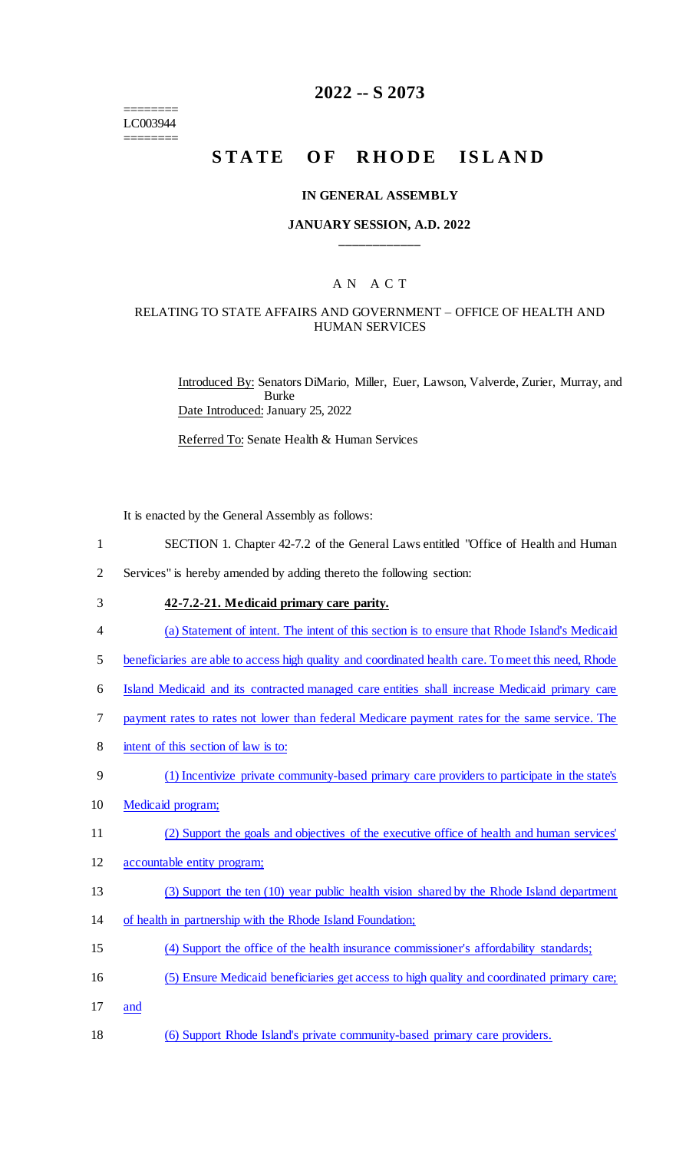======== LC003944 ========

# **2022 -- S 2073**

# STATE OF RHODE ISLAND

#### **IN GENERAL ASSEMBLY**

#### **JANUARY SESSION, A.D. 2022 \_\_\_\_\_\_\_\_\_\_\_\_**

# A N A C T

#### RELATING TO STATE AFFAIRS AND GOVERNMENT – OFFICE OF HEALTH AND HUMAN SERVICES

Introduced By: Senators DiMario, Miller, Euer, Lawson, Valverde, Zurier, Murray, and Burke Date Introduced: January 25, 2022

Referred To: Senate Health & Human Services

It is enacted by the General Assembly as follows:

- 1 SECTION 1. Chapter 42-7.2 of the General Laws entitled "Office of Health and Human
- 2 Services" is hereby amended by adding thereto the following section:
- 3 **42-7.2-21. Medicaid primary care parity.**
- 4 (a) Statement of intent. The intent of this section is to ensure that Rhode Island's Medicaid
- 5 beneficiaries are able to access high quality and coordinated health care. To meet this need, Rhode
- 6 Island Medicaid and its contracted managed care entities shall increase Medicaid primary care
- 7 payment rates to rates not lower than federal Medicare payment rates for the same service. The
- 8 intent of this section of law is to:
- 9 (1) Incentivize private community-based primary care providers to participate in the state's
- 10 Medicaid program;
- 11 (2) Support the goals and objectives of the executive office of health and human services'
- 12 accountable entity program;
- 13 (3) Support the ten (10) year public health vision shared by the Rhode Island department
- 14 of health in partnership with the Rhode Island Foundation;
- 15 (4) Support the office of the health insurance commissioner's affordability standards;
- 16 (5) Ensure Medicaid beneficiaries get access to high quality and coordinated primary care;
- 17 and
- 18 (6) Support Rhode Island's private community-based primary care providers.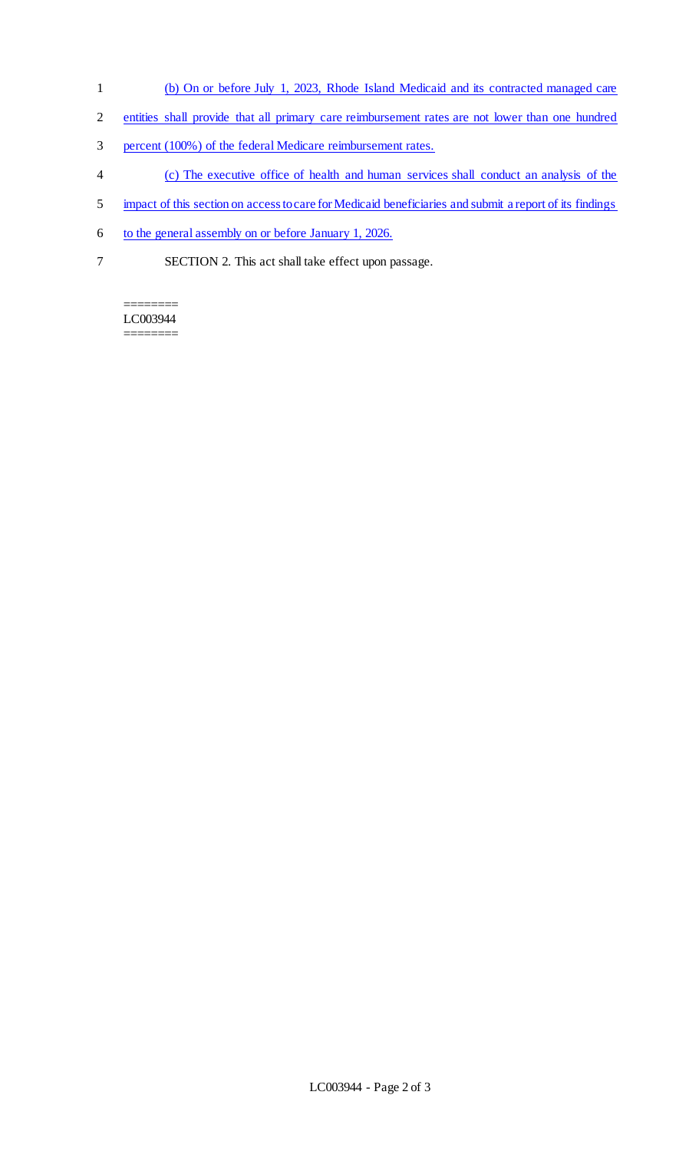- 1 (b) On or before July 1, 2023, Rhode Island Medicaid and its contracted managed care
- 2 entities shall provide that all primary care reimbursement rates are not lower than one hundred
- 3 percent (100%) of the federal Medicare reimbursement rates.
- 4 (c) The executive office of health and human services shall conduct an analysis of the
- 5 impact of this section on access to care for Medicaid beneficiaries and submit a report of its findings
- 6 to the general assembly on or before January 1, 2026.
- 7 SECTION 2. This act shall take effect upon passage.

======== LC003944 ========